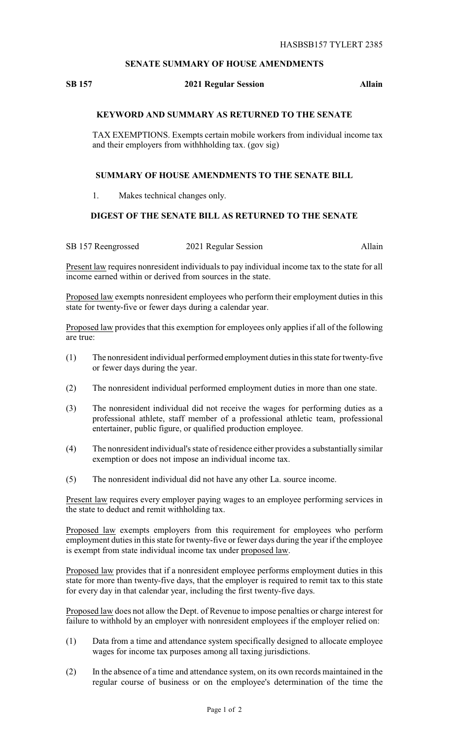## **SENATE SUMMARY OF HOUSE AMENDMENTS**

#### **SB 157 2021 Regular Session Allain**

## **KEYWORD AND SUMMARY AS RETURNED TO THE SENATE**

TAX EXEMPTIONS. Exempts certain mobile workers from individual income tax and their employers from withhholding tax. (gov sig)

#### **SUMMARY OF HOUSE AMENDMENTS TO THE SENATE BILL**

1. Makes technical changes only.

# **DIGEST OF THE SENATE BILL AS RETURNED TO THE SENATE**

SB 157 Reengrossed 2021 Regular Session Allain

Present law requires nonresident individuals to pay individual income tax to the state for all income earned within or derived from sources in the state.

Proposed law exempts nonresident employees who perform their employment duties in this state for twenty-five or fewer days during a calendar year.

Proposed law provides that this exemption for employees only applies if all of the following are true:

- (1) The nonresident individual performed employment duties in thisstate for twenty-five or fewer days during the year.
- (2) The nonresident individual performed employment duties in more than one state.
- (3) The nonresident individual did not receive the wages for performing duties as a professional athlete, staff member of a professional athletic team, professional entertainer, public figure, or qualified production employee.
- (4) The nonresident individual's state of residence either provides a substantially similar exemption or does not impose an individual income tax.
- (5) The nonresident individual did not have any other La. source income.

Present law requires every employer paying wages to an employee performing services in the state to deduct and remit withholding tax.

Proposed law exempts employers from this requirement for employees who perform employment duties in this state for twenty-five or fewer days during the year if the employee is exempt from state individual income tax under proposed law.

Proposed law provides that if a nonresident employee performs employment duties in this state for more than twenty-five days, that the employer is required to remit tax to this state for every day in that calendar year, including the first twenty-five days.

Proposed law does not allow the Dept. of Revenue to impose penalties or charge interest for failure to withhold by an employer with nonresident employees if the employer relied on:

- (1) Data from a time and attendance system specifically designed to allocate employee wages for income tax purposes among all taxing jurisdictions.
- (2) In the absence of a time and attendance system, on its own records maintained in the regular course of business or on the employee's determination of the time the